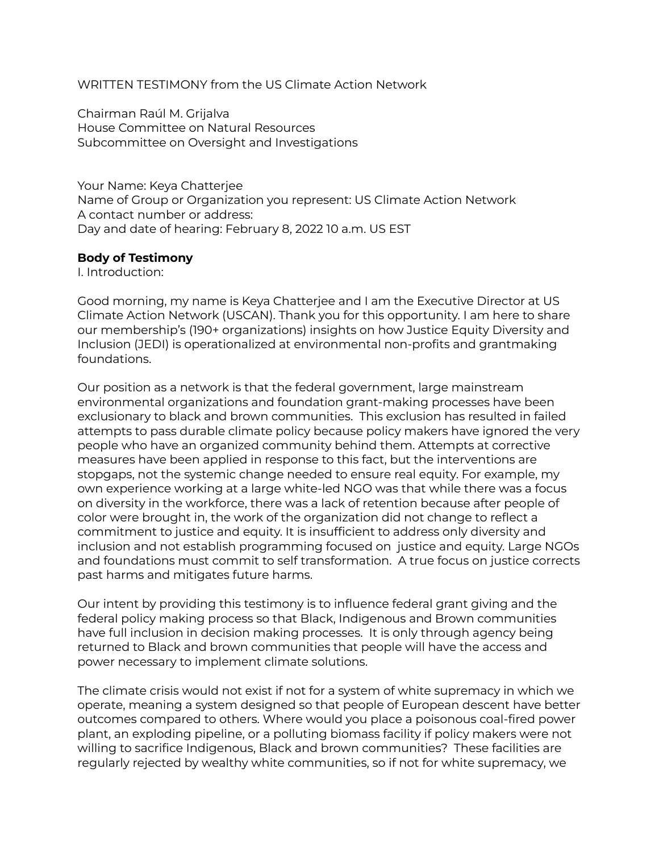WRITTEN TESTIMONY from the US Climate Action Network

Chairman Raúl M. Grijalva House Committee on Natural Resources Subcommittee on Oversight and Investigations

Your Name: Keya Chatterjee Name of Group or Organization you represent: US Climate Action Network A contact number or address: Day and date of hearing: February 8, 2022 10 a.m. US EST

## **Body of Testimony**

I. Introduction:

Good morning, my name is Keya Chatterjee and I am the Executive Director at US Climate Action Network (USCAN). Thank you for this opportunity. I am here to share our membership's (190+ organizations) insights on how Justice Equity Diversity and Inclusion (JEDI) is operationalized at environmental non-profits and grantmaking foundations.

Our position as a network is that the federal government, large mainstream environmental organizations and foundation grant-making processes have been exclusionary to black and brown communities. This exclusion has resulted in failed attempts to pass durable climate policy because policy makers have ignored the very people who have an organized community behind them. Attempts at corrective measures have been applied in response to this fact, but the interventions are stopgaps, not the systemic change needed to ensure real equity. For example, my own experience working at a large white-led NGO was that while there was a focus on diversity in the workforce, there was a lack of retention because after people of color were brought in, the work of the organization did not change to reflect a commitment to justice and equity. It is insufficient to address only diversity and inclusion and not establish programming focused on justice and equity. Large NGOs and foundations must commit to self transformation. A true focus on justice corrects past harms and mitigates future harms.

Our intent by providing this testimony is to influence federal grant giving and the federal policy making process so that Black, Indigenous and Brown communities have full inclusion in decision making processes. It is only through agency being returned to Black and brown communities that people will have the access and power necessary to implement climate solutions.

The climate crisis would not exist if not for a system of white supremacy in which we operate, meaning a system designed so that people of European descent have better outcomes compared to others. Where would you place a poisonous coal-fired power plant, an exploding pipeline, or a polluting biomass facility if policy makers were not willing to sacrifice Indigenous, Black and brown communities? These facilities are regularly rejected by wealthy white communities, so if not for white supremacy, we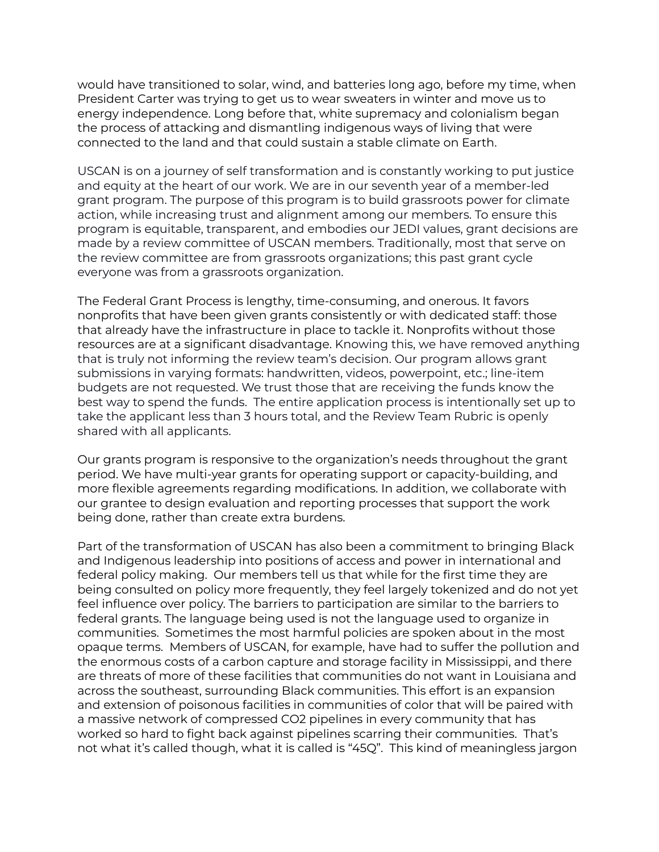would have transitioned to solar, wind, and batteries long ago, before my time, when President Carter was trying to get us to wear sweaters in winter and move us to energy independence. Long before that, white supremacy and colonialism began the process of attacking and dismantling indigenous ways of living that were connected to the land and that could sustain a stable climate on Earth.

USCAN is on a journey of self transformation and is constantly working to put justice and equity at the heart of our work. We are in our seventh year of a member-led grant program. The purpose of this program is to build grassroots power for climate action, while increasing trust and alignment among our members. To ensure this program is equitable, transparent, and embodies our JEDI values, grant decisions are made by a review committee of USCAN members. Traditionally, most that serve on the review committee are from grassroots organizations; this past grant cycle everyone was from a grassroots organization.

The Federal Grant Process is lengthy, time-consuming, and onerous. It favors nonprofits that have been given grants consistently or with dedicated staff: those that already have the infrastructure in place to tackle it. Nonprofits without those resources are at a significant disadvantage. Knowing this, we have removed anything that is truly not informing the review team's decision. Our program allows grant submissions in varying formats: handwritten, videos, powerpoint, etc.; line-item budgets are not requested. We trust those that are receiving the funds know the best way to spend the funds. The entire application process is intentionally set up to take the applicant less than 3 hours total, and the Review Team Rubric is openly shared with all applicants.

Our grants program is responsive to the organization's needs throughout the grant period. We have multi-year grants for operating support or capacity-building, and more flexible agreements regarding modifications. In addition, we collaborate with our grantee to design evaluation and reporting processes that support the work being done, rather than create extra burdens.

Part of the transformation of USCAN has also been a commitment to bringing Black and Indigenous leadership into positions of access and power in international and federal policy making. Our members tell us that while for the first time they are being consulted on policy more frequently, they feel largely tokenized and do not yet feel influence over policy. The barriers to participation are similar to the barriers to federal grants. The language being used is not the language used to organize in communities. Sometimes the most harmful policies are spoken about in the most opaque terms. Members of USCAN, for example, have had to suffer the pollution and the enormous costs of a carbon capture and storage facility in Mississippi, and there are threats of more of these facilities that communities do not want in Louisiana and across the southeast, surrounding Black communities. This effort is an expansion and extension of poisonous facilities in communities of color that will be paired with a massive network of compressed CO2 pipelines in every community that has worked so hard to fight back against pipelines scarring their communities. That's not what it's called though, what it is called is "45Q". This kind of meaningless jargon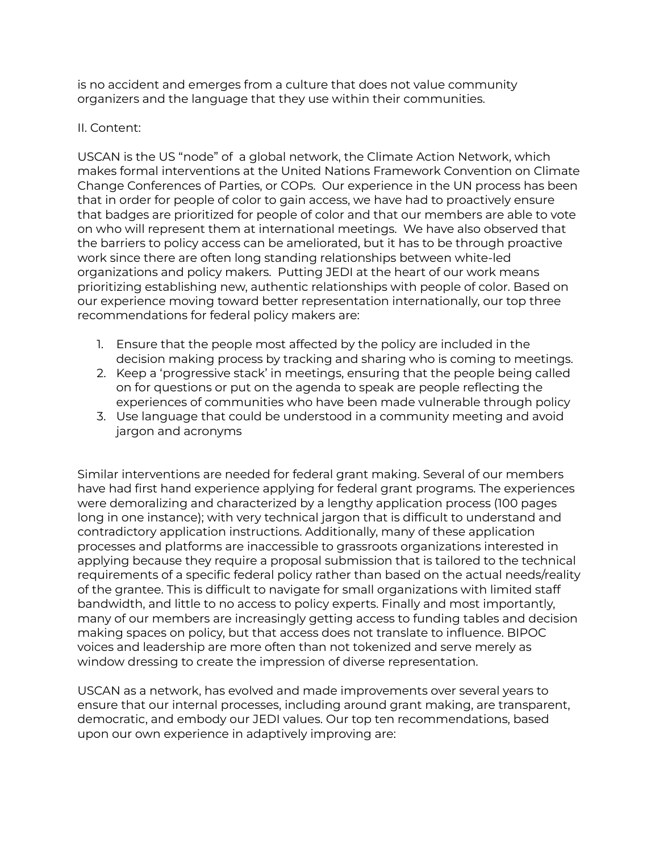is no accident and emerges from a culture that does not value community organizers and the language that they use within their communities.

## II. Content:

USCAN is the US "node" of a global network, the Climate Action Network, which makes formal interventions at the United Nations Framework Convention on Climate Change Conferences of Parties, or COPs. Our experience in the UN process has been that in order for people of color to gain access, we have had to proactively ensure that badges are prioritized for people of color and that our members are able to vote on who will represent them at international meetings. We have also observed that the barriers to policy access can be ameliorated, but it has to be through proactive work since there are often long standing relationships between white-led organizations and policy makers. Putting JEDI at the heart of our work means prioritizing establishing new, authentic relationships with people of color. Based on our experience moving toward better representation internationally, our top three recommendations for federal policy makers are:

- 1. Ensure that the people most affected by the policy are included in the decision making process by tracking and sharing who is coming to meetings.
- 2. Keep a 'progressive stack' in meetings, ensuring that the people being called on for questions or put on the agenda to speak are people reflecting the experiences of communities who have been made vulnerable through policy
- 3. Use language that could be understood in a community meeting and avoid jargon and acronyms

Similar interventions are needed for federal grant making. Several of our members have had first hand experience applying for federal grant programs. The experiences were demoralizing and characterized by a lengthy application process (100 pages long in one instance); with very technical jargon that is difficult to understand and contradictory application instructions. Additionally, many of these application processes and platforms are inaccessible to grassroots organizations interested in applying because they require a proposal submission that is tailored to the technical requirements of a specific federal policy rather than based on the actual needs/reality of the grantee. This is difficult to navigate for small organizations with limited staff bandwidth, and little to no access to policy experts. Finally and most importantly, many of our members are increasingly getting access to funding tables and decision making spaces on policy, but that access does not translate to influence. BIPOC voices and leadership are more often than not tokenized and serve merely as window dressing to create the impression of diverse representation.

USCAN as a network, has evolved and made improvements over several years to ensure that our internal processes, including around grant making, are transparent, democratic, and embody our JEDI values. Our top ten recommendations, based upon our own experience in adaptively improving are: